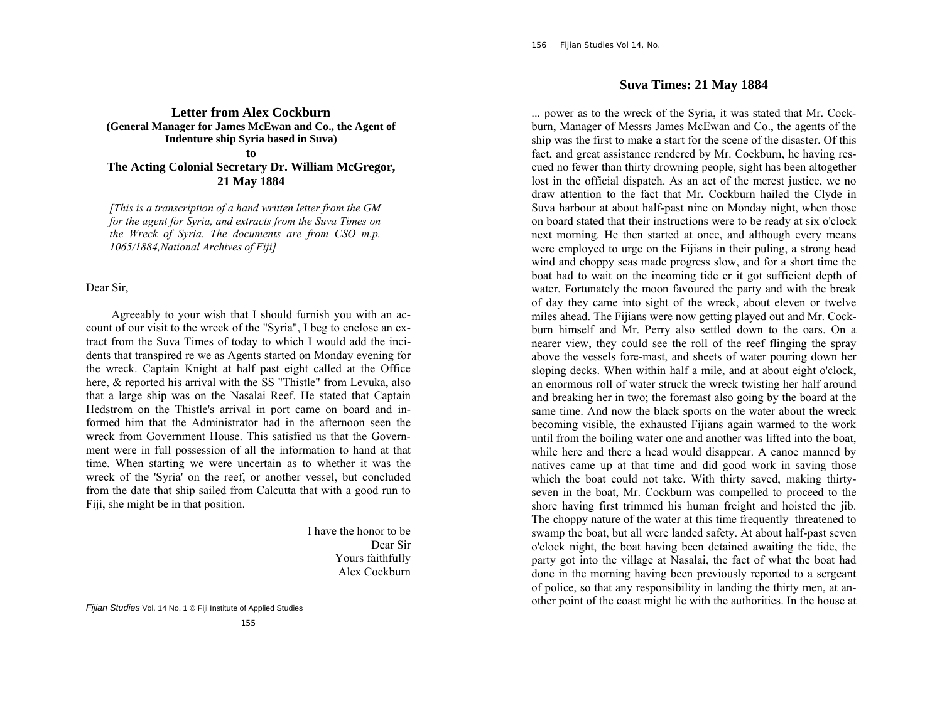**Letter from Alex Cockburn (General Manager for James McEwan and Co., the Agent of Indenture ship Syria based in Suva) to** 

**The Acting Colonial Secretary Dr. William McGregor, 21 May 1884**

*[This is a transcription of a hand written letter from the GM for the agent for Syria, and extracts from the Suva Times on the Wreck of Syria. The documents are from CSO m.p. 1065/1884,National Archives of Fiji]* 

Dear Sir,

 Agreeably to your wish that I should furnish you with an account of our visit to the wreck of the "Syria", I beg to enclose an extract from the Suva Times of today to which I would add the incidents that transpired re we as Agents started on Monday evening for the wreck. Captain Knight at half past eight called at the Office here, & reported his arrival with the SS "Thistle" from Levuka, also that a large ship was on the Nasalai Reef. He stated that Captain Hedstrom on the Thistle's arrival in port came on board and informed him that the Administrator had in the afternoon seen the wreck from Government House. This satisfied us that the Government were in full possession of all the information to hand at that time. When starting we were uncertain as to whether it was the wreck of the 'Syria' on the reef, or another vessel, but concluded from the date that ship sailed from Calcutta that with a good run to Fiji, she might be in that position.

> I have the honor to be Dear Sir Yours faithfully Alex Cockburn

*Fijian Studies* Vol. 14 No. 1 © Fiji Institute of Applied Studies

## **Suva Times: 21 May 1884**

... power as to the wreck of the Syria, it was stated that Mr. Cockburn, Manager of Messrs James McEwan and Co., the agents of the ship was the first to make a start for the scene of the disaster. Of this fact, and great assistance rendered by Mr. Cockburn, he having rescued no fewer than thirty drowning people, sight has been altogether lost in the official dispatch. As an act of the merest justice, we no draw attention to the fact that Mr. Cockburn hailed the Clyde in Suva harbour at about half-past nine on Monday night, when those on board stated that their instructions were to be ready at six o'clock next morning. He then started at once, and although every means were employed to urge on the Fijians in their puling, a strong head wind and choppy seas made progress slow, and for a short time the boat had to wait on the incoming tide er it got sufficient depth of water. Fortunately the moon favoured the party and with the break of day they came into sight of the wreck, about eleven or twelve miles ahead. The Fijians were now getting played out and Mr. Cockburn himself and Mr. Perry also settled down to the oars. On a nearer view, they could see the roll of the reef flinging the spray above the vessels fore-mast, and sheets of water pouring down her sloping decks. When within half a mile, and at about eight o'clock, an enormous roll of water struck the wreck twisting her half around and breaking her in two; the foremast also going by the board at the same time. And now the black sports on the water about the wreck becoming visible, the exhausted Fijians again warmed to the work until from the boiling water one and another was lifted into the boat, while here and there a head would disappear. A canoe manned by natives came up at that time and did good work in saving those which the boat could not take. With thirty saved, making thirtyseven in the boat, Mr. Cockburn was compelled to proceed to the shore having first trimmed his human freight and hoisted the jib. The choppy nature of the water at this time frequently threatened to swamp the boat, but all were landed safety. At about half-past seven <sup>o</sup>'clock night, the boat having been detained awaiting the tide, the party got into the village at Nasalai, the fact of what the boat had done in the morning having been previously reported to a sergeant of police, so that any responsibility in landing the thirty men, at another point of the coast might lie with the authorities. In the house at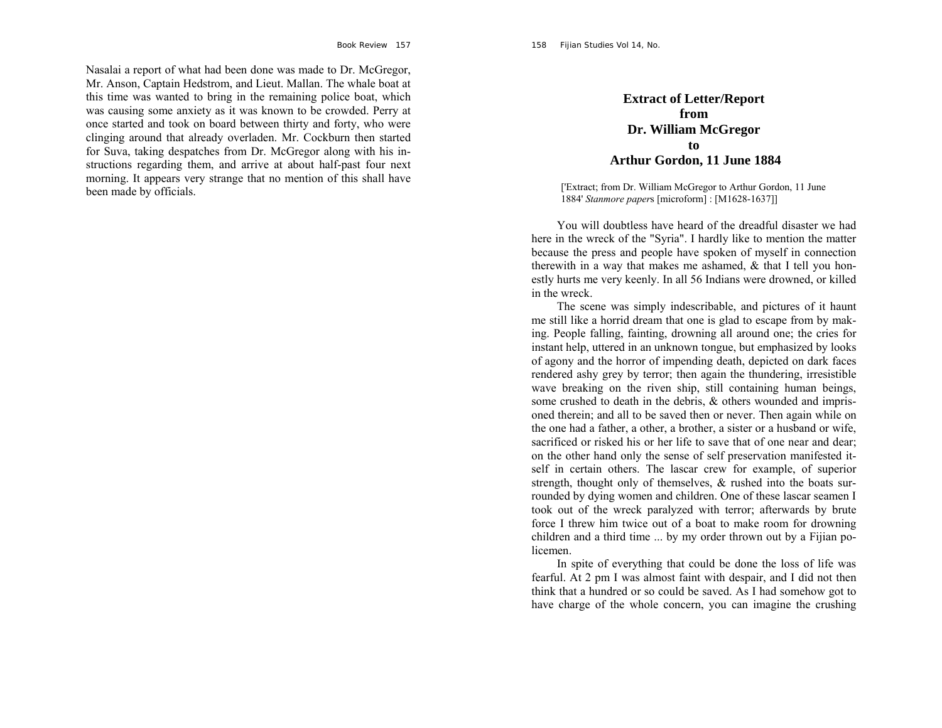Nasalai a report of what had been done was made to Dr. McGregor, Mr. Anson, Captain Hedstrom, and Lieut. Mallan. The whale boat at this time was wanted to bring in the remaining police boat, which was causing some anxiety as it was known to be crowded. Perry at once started and took on board between thirty and forty, who were clinging around that already overladen. Mr. Cockburn then started for Suva, taking despatches from Dr. McGregor along with his instructions regarding them, and arrive at about half-past four next morning. It appears very strange that no mention of this shall have been made by officials.

## **Extract of Letter/Report from Dr. William McGregor to Arthur Gordon, 11 June 1884**

['Extract; from Dr. William McGregor to Arthur Gordon, 11 June 1884' *Stanmore paper*s [microform] : [M1628-1637]]

 You will doubtless have heard of the dreadful disaster we had here in the wreck of the "Syria". I hardly like to mention the matter because the press and people have spoken of myself in connection therewith in a way that makes me ashamed,  $\&$  that I tell you honestly hurts me very keenly. In all 56 Indians were drowned, or killed in the wreck.

 The scene was simply indescribable, and pictures of it haunt me still like a horrid dream that one is glad to escape from by making. People falling, fainting, drowning all around one; the cries for instant help, uttered in an unknown tongue, but emphasized by looks of agony and the horror of impending death, depicted on dark faces rendered ashy grey by terror; then again the thundering, irresistible wave breaking on the riven ship, still containing human beings, some crushed to death in the debris, & others wounded and imprisoned therein; and all to be saved then or never. Then again while on the one had a father, a other, a brother, a sister or a husband or wife, sacrificed or risked his or her life to save that of one near and dear; on the other hand only the sense of self preservation manifested itself in certain others. The lascar crew for example, of superior strength, thought only of themselves, & rushed into the boats surrounded by dying women and children. One of these lascar seamen I took out of the wreck paralyzed with terror; afterwards by brute force I threw him twice out of a boat to make room for drowning children and a third time ... by my order thrown out by a Fijian policemen.

 In spite of everything that could be done the loss of life was fearful. At 2 pm I was almost faint with despair, and I did not then think that a hundred or so could be saved. As I had somehow got to have charge of the whole concern, you can imagine the crushing